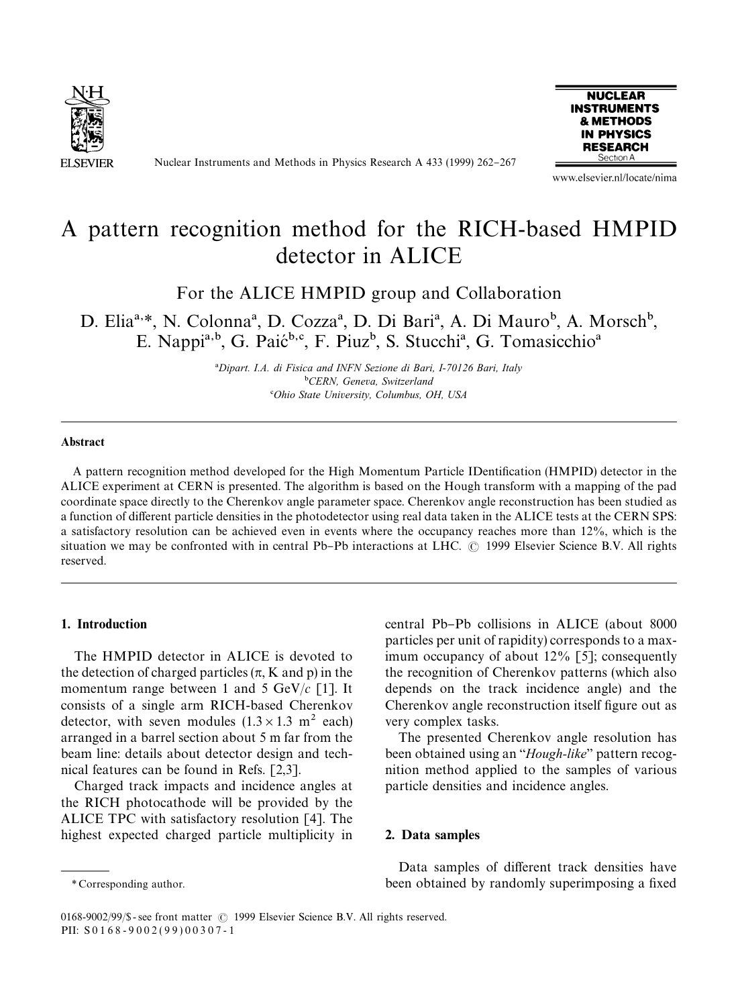

Nuclear Instruments and Methods in Physics Research A 433 (1999) 262-267



www.elsevier.nl/locate/nima

# A pattern recognition method for the RICH-based HMPID detector in ALICE

For the ALICE HMPID group and Collaboration

D. Elia<sup>a,\*</sup>, N. Colonna<sup>a</sup>, D. Cozza<sup>a</sup>, D. Di Bari<sup>a</sup>, A. Di Mauro<sup>b</sup>, A. Morsch<sup>b</sup>, E. Nappi<sup>a,b</sup>, G. Paić<sup>b,c</sup>, F. Piuz<sup>b</sup>, S. Stucchi<sup>a</sup>, G. Tomasicchio<sup>a</sup>

> !*Dipart. I.A. di Fisica and INFN Sezione di Bari, I-70126 Bari, Italy* "*CERN, Geneva, Switzerland* #*Ohio State University, Columbus, OH, USA*

#### **Abstract**

A pattern recognition method developed for the High Momentum Particle IDentification (HMPID) detector in the ALICE experiment at CERN is presented. The algorithm is based on the Hough transform with a mapping of the pad coordinate space directly to the Cherenkov angle parameter space. Cherenkov angle reconstruction has been studied as a function of different particle densities in the photodetector using real data taken in the ALICE tests at the CERN SPS: a satisfactory resolution can be achieved even in events where the occupancy reaches more than 12%, which is the situation we may be confronted with in central Pb-Pb interactions at LHC. © 1999 Elsevier Science B.V. All rights reserved.

#### 1. Introduction

The HMPID detector in ALICE is devoted to the detection of charged particles  $(\pi, K \text{ and } p)$  in the momentum range between 1 and 5 GeV/*c* [1]. It consists of a single arm RICH-based Cherenkov detector, with seven modules  $(1.3 \times 1.3 \text{ m}^2 \text{ each})$ arranged in a barrel section about 5 m far from the beam line: details about detector design and technical features can be found in Refs. [2,3].

Charged track impacts and incidence angles at the RICH photocathode will be provided by the ALICE TPC with satisfactory resolution [4]. The highest expected charged particle multiplicity in

central Pb-Pb collisions in ALICE (about 8000) particles per unit of rapidity) corresponds to a maximum occupancy of about 12% [5]; consequently the recognition of Cherenkov patterns (which also depends on the track incidence angle) and the Cherenkov angle reconstruction itself figure out as very complex tasks.

The presented Cherenkov angle resolution has been obtained using an "*Hough-like*" pattern recognition method applied to the samples of various particle densities and incidence angles.

### 2. Data samples

Data samples of different track densities have been obtained by randomly superimposing a fixed

*<sup>\*</sup>* Corresponding author.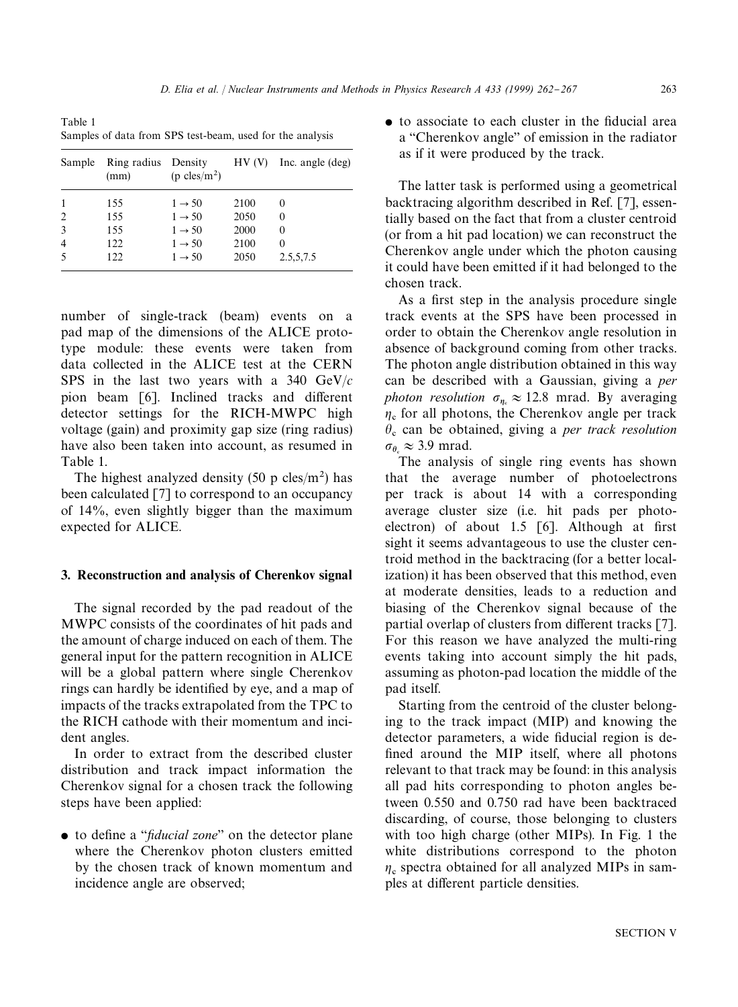Table 1 Samples of data from SPS test-beam, used for the analysis

| Sample | Ring radius<br>(mm) | Density<br>$(p \text{cles/m}^2)$ | HV(V) | Inc. angle (deg) |
|--------|---------------------|----------------------------------|-------|------------------|
|        | 155                 | $1 \rightarrow 50$               | 2100  | $\Omega$         |
| 2      | 155                 | $1 \rightarrow 50$               | 2050  | $\theta$         |
| 3      | 155                 | $1 \rightarrow 50$               | 2000  | 0                |
| 4      | 122                 | $1 \rightarrow 50$               | 2100  | $\Omega$         |
|        | 122.                | $1 \rightarrow 50$               | 2050  | 2.5,5,7.5        |

number of single-track (beam) events on a pad map of the dimensions of the ALICE prototype module: these events were taken from data collected in the ALICE test at the CERN SPS in the last two years with a 340 GeV/*c* pion beam [6]. Inclined tracks and different detector settings for the RICH-MWPC high voltage (gain) and proximity gap size (ring radius) have also been taken into account, as resumed in Table 1.

The highest analyzed density  $(50 \text{ p} \text{ cles/m}^2)$  has been calculated [7] to correspond to an occupancy of 14%, even slightly bigger than the maximum expected for ALICE.

## 3. Reconstruction and analysis of Cherenkov signal

The signal recorded by the pad readout of the MWPC consists of the coordinates of hit pads and the amount of charge induced on each of them. The general input for the pattern recognition in ALICE will be a global pattern where single Cherenkov rings can hardly be identified by eye, and a map of impacts of the tracks extrapolated from the TPC to the RICH cathode with their momentum and incident angles.

In order to extract from the described cluster distribution and track impact information the Cherenkov signal for a chosen track the following steps have been applied:

• to define a "*fiducial zone*" on the detector plane where the Cherenkov photon clusters emitted by the chosen track of known momentum and incidence angle are observed;

 $\bullet$  to associate to each cluster in the fiducial area a "Cherenkov angle" of emission in the radiator as if it were produced by the track.

The latter task is performed using a geometrical backtracing algorithm described in Ref. [7], essentially based on the fact that from a cluster centroid (or from a hit pad location) we can reconstruct the Cherenkov angle under which the photon causing it could have been emitted if it had belonged to the chosen track.

As a first step in the analysis procedure single track events at the SPS have been processed in order to obtain the Cherenkov angle resolution in absence of background coming from other tracks. The photon angle distribution obtained in this way can be described with a Gaussian, giving a *per photon resolution*  $\sigma_{\eta_{\rm c}} \approx 12.8$  mrad. By averaging  $\eta_c$  for all photons, the Cherenkov angle per track  $\theta$ <sub>c</sub> can be obtained, giving a *per track resolution*  $\sigma_{\theta_{\rm c}} \approx 3.9$  mrad.

The analysis of single ring events has shown that the average number of photoelectrons per track is about 14 with a corresponding average cluster size (i.e. hit pads per photoelectron) of about  $1.5 \,$  [6]. Although at first sight it seems advantageous to use the cluster centroid method in the backtracing (for a better localization) it has been observed that this method, even at moderate densities, leads to a reduction and biasing of the Cherenkov signal because of the partial overlap of clusters from different tracks [7]. For this reason we have analyzed the multi-ring events taking into account simply the hit pads, assuming as photon-pad location the middle of the pad itself.

Starting from the centroid of the cluster belonging to the track impact (MIP) and knowing the detector parameters, a wide fiducial region is defined around the MIP itself, where all photons relevant to that track may be found: in this analysis all pad hits corresponding to photon angles between 0.550 and 0.750 rad have been backtraced discarding, of course, those belonging to clusters with too high charge (other MIPs). In Fig. 1 the white distributions correspond to the photon  $\eta_c$  spectra obtained for all analyzed MIPs in samples at different particle densities.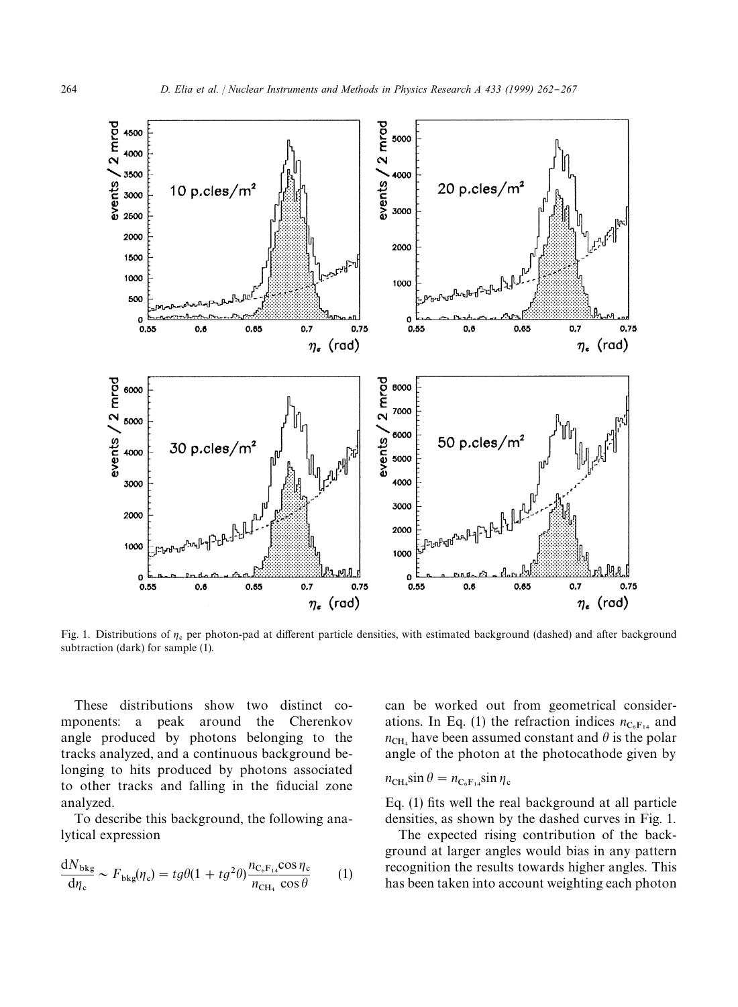

Fig. 1. Distributions of  $\eta_c$  per photon-pad at different particle densities, with estimated background (dashed) and after background subtraction (dark) for sample (1).

These distributions show two distinct components: a peak around the Cherenkov angle produced by photons belonging to the tracks analyzed, and a continuous background belonging to hits produced by photons associated to other tracks and falling in the fiducial zone analyzed.

To describe this background, the following analytical expression

$$
\frac{dN_{\text{bkg}}}{d\eta_{\text{c}}} \sim F_{\text{bkg}}(\eta_{\text{c}}) = t g \theta (1 + t g^2 \theta) \frac{n_{\text{C}_{\text{c}} F_{14}} \cos \eta_{\text{c}}}{n_{\text{CH}_4} \cos \theta} \tag{1}
$$

can be worked out from geometrical considerations. In Eq. (1) the refraction indices  $n_{C_6F_{14}}$  and  $n_{\text{CH}_4}$  have been assumed constant and  $\theta$  is the polar angle of the photon at the photocathode given by

$$
n_{\rm CH_4} \sin \theta = n_{\rm C_6F_{14}} \sin \eta_{\rm c}
$$

Eq.  $(1)$  fits well the real background at all particle densities, as shown by the dashed curves in Fig. 1.

The expected rising contribution of the background at larger angles would bias in any pattern recognition the results towards higher angles. This has been taken into account weighting each photon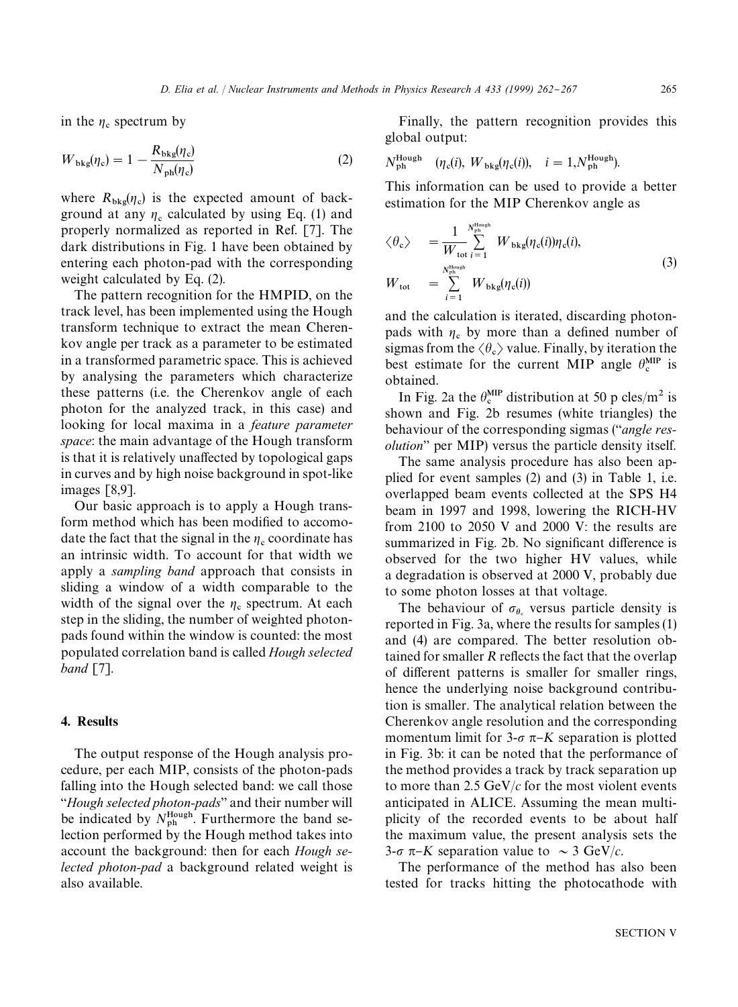in the  $\eta_c$  spectrum by

$$
W_{\text{bkg}}(\eta_{\text{c}}) = 1 - \frac{R_{\text{bkg}}(\eta_{\text{c}})}{N_{\text{ph}}(\eta_{\text{c}})}
$$
(2)

where  $R_{bkg}(\eta_c)$  is the expected amount of background at any  $\eta_c$  calculated by using Eq. (1) and properly normalized as reported in Ref. [7]. The dark distributions in Fig. 1 have been obtained by entering each photon-pad with the corresponding weight calculated by Eq. (2).

The pattern recognition for the HMPID, on the track level, has been implemented using the Hough transform technique to extract the mean Cherenkov angle per track as a parameter to be estimated in a transformed parametric space. This is achieved by analysing the parameters which characterize these patterns (i.e. the Cherenkov angle of each photon for the analyzed track, in this case) and looking for local maxima in a *feature parameter space*: the main advantage of the Hough transform is that it is relatively unaffected by topological gaps in curves and by high noise background in spot-like images [8,9].

Our basic approach is to apply a Hough transform method which has been modified to accomodate the fact that the signal in the  $\eta_c$  coordinate has an intrinsic width. To account for that width we apply a *sampling band* approach that consists in sliding a window of a width comparable to the width of the signal over the  $\eta_c$  spectrum. At each step in the sliding, the number of weighted photonpads found within the window is counted: the most populated correlation band is called *Hough selected band* [7].

## 4. Results

The output response of the Hough analysis procedure, per each MIP, consists of the photon-pads falling into the Hough selected band: we call those *''Hough selected photon-pads''* and their number will be indicated by  $N_{\text{ph}}^{\text{Hough}}$ . Furthermore the band selection performed by the Hough method takes into account the background: then for each *Hough selected photon-pad* a background related weight is also available.

Finally, the pattern recognition provides this global output:

$$
N_{\rm ph}^{\rm Hough} \quad (\eta_{\rm c}(i), W_{\rm bkg}(\eta_{\rm c}(i)), \quad i = 1, N_{\rm ph}^{\rm Hough}).
$$

This information can be used to provide a better estimation for the MIP Cherenkov angle as

$$
\langle \theta_{c} \rangle = \frac{1}{W_{\text{tot}}} \sum_{i=1}^{N_{\text{phough}}^{\text{Hough}}} W_{\text{bkg}}(\eta_{c}(i)) \eta_{c}(i),
$$
  
\n
$$
W_{\text{tot}} = \sum_{i=1}^{N_{\text{phash}}^{\text{Hough}}} W_{\text{bkg}}(\eta_{c}(i))
$$
\n(3)

and the calculation is iterated, discarding photonpads with  $\eta_c$  by more than a defined number of sigmas from the  $\langle \theta_c \rangle$  value. Finally, by iteration the best estimate for the current MIP angle  $\theta_c^{MIP}$  is obtained.

In Fig. 2a the  $\theta_{\rm c}^{\rm MP}$  distribution at 50 p cles/m<sup>2</sup> is shown and Fig. 2b resumes (white triangles) the behaviour of the corresponding sigmas (`*angle resolution*" per MIP) versus the particle density itself.

The same analysis procedure has also been applied for event samples (2) and (3) in Table 1, i.e. overlapped beam events collected at the SPS H4 beam in 1997 and 1998, lowering the RICH-HV from 2100 to 2050 V and 2000 V: the results are summarized in Fig. 2b. No significant difference is observed for the two higher HV values, while a degradation is observed at 2000 V, probably due to some photon losses at that voltage.

The behaviour of  $\sigma_{\theta_{e}}$  versus particle density is reported in Fig. 3a, where the results for samples (1) and (4) are compared. The better resolution obtained for smaller *R* reflects the fact that the overlap of different patterns is smaller for smaller rings, hence the underlying noise background contribution is smaller. The analytical relation between the Cherenkov angle resolution and the corresponding momentum limit for  $3-\sigma \pi-K$  separation is plotted in Fig. 3b: it can be noted that the performance of the method provides a track by track separation up to more than 2.5 GeV/*c* for the most violent events anticipated in ALICE. Assuming the mean multiplicity of the recorded events to be about half the maximum value, the present analysis sets the  $3$ - $\sigma$   $\pi$ -*K* separation value to  $\sim$  3 GeV/*c*.

The performance of the method has also been tested for tracks hitting the photocathode with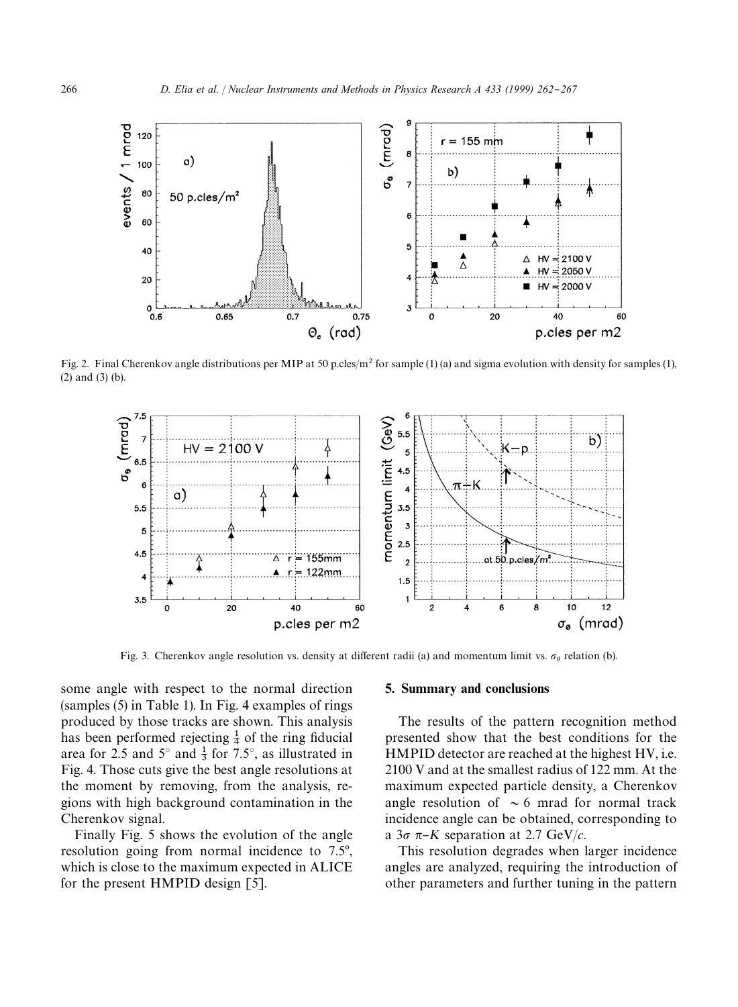

Fig. 2. Final Cherenkov angle distributions per MIP at 50 p.cles/m<sup>2</sup> for sample (1) (a) and sigma evolution with density for samples (1), (2) and (3) (b).



Fig. 3. Cherenkov angle resolution vs. density at different radii (a) and momentum limit vs.  $\sigma_{\theta}$  relation (b).

some angle with respect to the normal direction (samples (5) in Table 1). In Fig. 4 examples of rings produced by those tracks are shown. This analysis has been performed rejecting  $\frac{1}{4}$  of the ring fiducial area for 2.5 and  $5^\circ$  and  $\frac{1}{3}$  for 7.5°, as illustrated in Fig. 4. Those cuts give the best angle resolutions at the moment by removing, from the analysis, regions with high background contamination in the Cherenkov signal.

Finally Fig. 5 shows the evolution of the angle resolution going from normal incidence to  $7.5^{\circ}$ , which is close to the maximum expected in ALICE for the present HMPID design [5].

#### 5. Summary and conclusions

The results of the pattern recognition method presented show that the best conditions for the HMPID detector are reached at the highest HV, i.e. 2100 V and at the smallest radius of 122 mm. At the maximum expected particle density, a Cherenkov angle resolution of  $\sim$  6 mrad for normal track incidence angle can be obtained, corresponding to a  $3\sigma \pi$ <sup>K</sup> separation at 2.7 GeV/*c*.

This resolution degrades when larger incidence angles are analyzed, requiring the introduction of other parameters and further tuning in the pattern